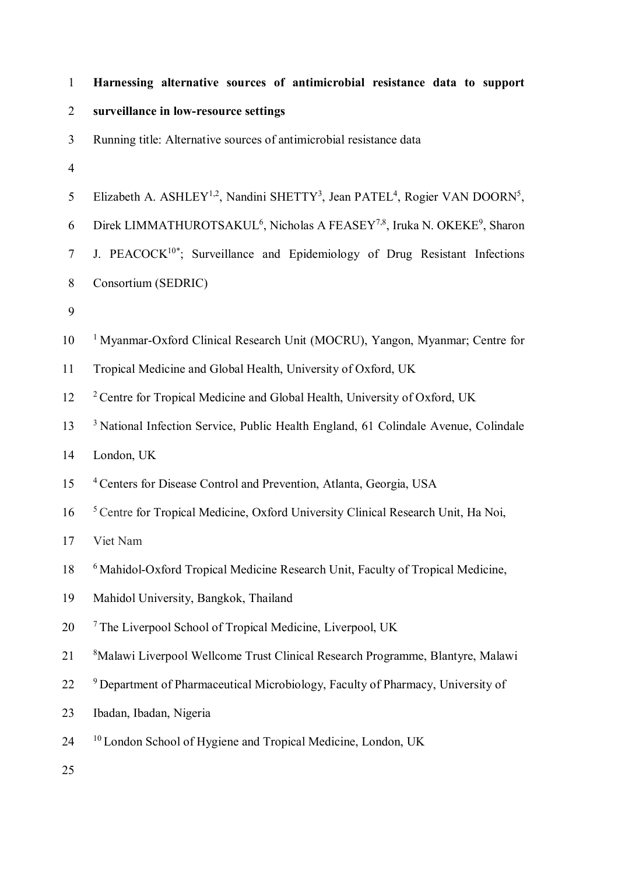| $\mathbf{1}$   | Harnessing alternative sources of antimicrobial resistance data to support                                                   |
|----------------|------------------------------------------------------------------------------------------------------------------------------|
| $\overline{2}$ | surveillance in low-resource settings                                                                                        |
| 3              | Running title: Alternative sources of antimicrobial resistance data                                                          |
| 4              |                                                                                                                              |
| 5              | Elizabeth A. ASHLEY <sup>1,2</sup> , Nandini SHETTY <sup>3</sup> , Jean PATEL <sup>4</sup> , Rogier VAN DOORN <sup>5</sup> , |
| 6              | Direk LIMMATHUROTSAKUL <sup>6</sup> , Nicholas A FEASEY <sup>7,8</sup> , Iruka N. OKEKE <sup>9</sup> , Sharon                |
| $\tau$         | J. PEACOCK <sup>10*</sup> ; Surveillance and Epidemiology of Drug Resistant Infections                                       |
| 8              | Consortium (SEDRIC)                                                                                                          |
| 9              |                                                                                                                              |
| 10             | <sup>1</sup> Myanmar-Oxford Clinical Research Unit (MOCRU), Yangon, Myanmar; Centre for                                      |
| 11             | Tropical Medicine and Global Health, University of Oxford, UK                                                                |
| 12             | <sup>2</sup> Centre for Tropical Medicine and Global Health, University of Oxford, UK                                        |
| 13             | <sup>3</sup> National Infection Service, Public Health England, 61 Colindale Avenue, Colindale                               |
| 14             | London, UK                                                                                                                   |
| 15             | <sup>4</sup> Centers for Disease Control and Prevention, Atlanta, Georgia, USA                                               |
| 16             | <sup>5</sup> Centre for Tropical Medicine, Oxford University Clinical Research Unit, Ha Noi,                                 |
| 17             | Viet Nam                                                                                                                     |
| 18             | <sup>6</sup> Mahidol-Oxford Tropical Medicine Research Unit, Faculty of Tropical Medicine,                                   |
| 19             | Mahidol University, Bangkok, Thailand                                                                                        |
| 20             | <sup>7</sup> The Liverpool School of Tropical Medicine, Liverpool, UK                                                        |
| 21             | <sup>8</sup> Malawi Liverpool Wellcome Trust Clinical Research Programme, Blantyre, Malawi                                   |
| 22             | <sup>9</sup> Department of Pharmaceutical Microbiology, Faculty of Pharmacy, University of                                   |
| 23             | Ibadan, Ibadan, Nigeria                                                                                                      |
| 24             | <sup>10</sup> London School of Hygiene and Tropical Medicine, London, UK                                                     |
| 25             |                                                                                                                              |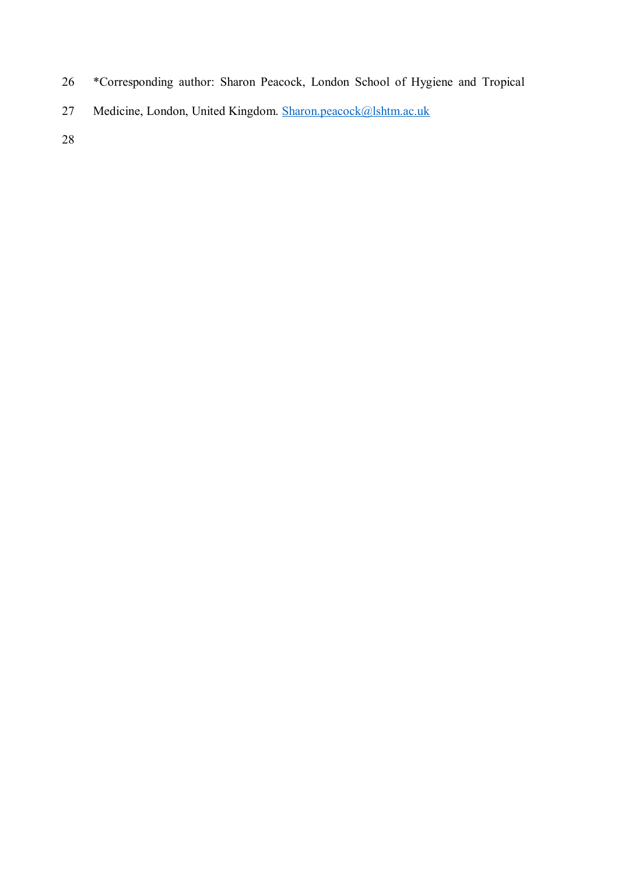- 26 \*Corresponding author: Sharon Peacock, London School of Hygiene and Tropical
- 27 Medicine, London, United Kingdom. Sharon.peacock@lshtm.ac.uk
- 28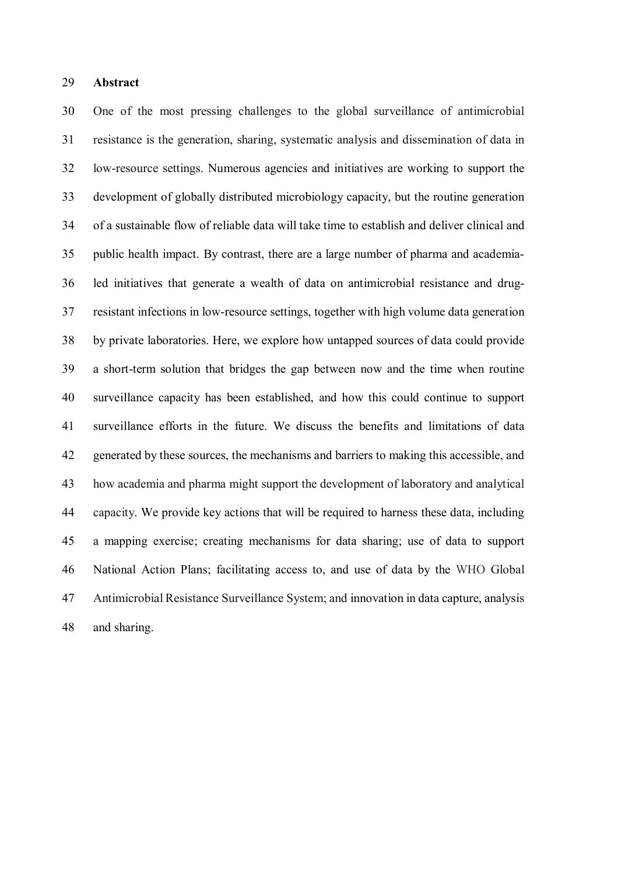#### 29 **Abstract**

30 One of the most pressing challenges to the global surveillance of antimicrobial 31 resistance is the generation, sharing, systematic analysis and dissemination of data in 32 low-resource settings. Numerous agencies and initiatives are working to support the 33 development of globally distributed microbiology capacity, but the routine generation 34 of a sustainable flow of reliable data will take time to establish and deliver clinical and 35 public health impact. By contrast, there are a large number of pharma and academia-36 led initiatives that generate a wealth of data on antimicrobial resistance and drug-37 resistant infections in low-resource settings, together with high volume data generation 38 by private laboratories. Here, we explore how untapped sources of data could provide 39 a short-term solution that bridges the gap between now and the time when routine 40 surveillance capacity has been established, and how this could continue to support 41 surveillance efforts in the future. We discuss the benefits and limitations of data 42 generated by these sources, the mechanisms and barriers to making this accessible, and 43 how academia and pharma might support the development of laboratory and analytical 44 capacity. We provide key actions that will be required to harness these data, including 45 a mapping exercise; creating mechanisms for data sharing; use of data to support 46 National Action Plans; facilitating access to, and use of data by the WHO Global 47 Antimicrobial Resistance Surveillance System; and innovation in data capture, analysis 48 and sharing.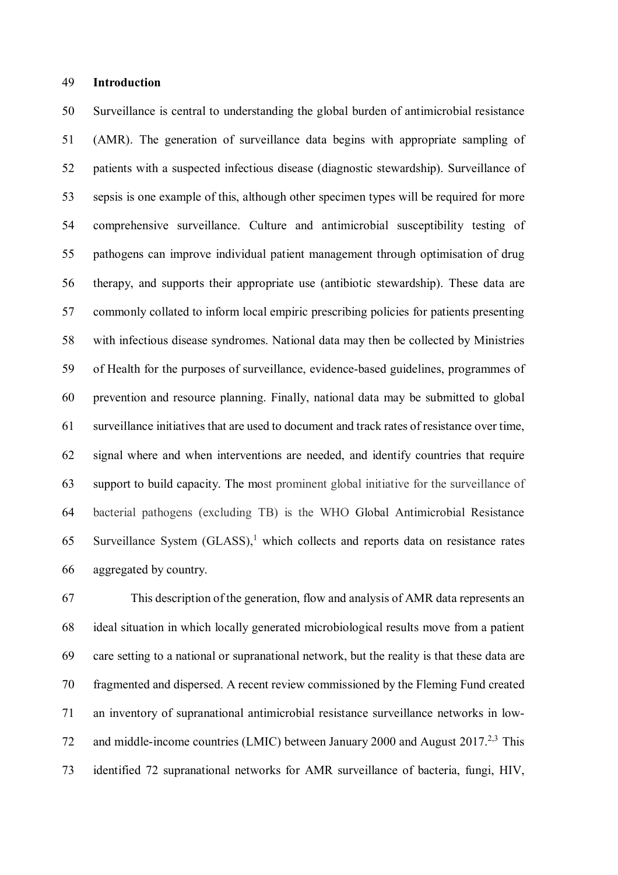#### 49 **Introduction**

50 Surveillance is central to understanding the global burden of antimicrobial resistance 51 (AMR). The generation of surveillance data begins with appropriate sampling of 52 patients with a suspected infectious disease (diagnostic stewardship). Surveillance of 53 sepsis is one example of this, although other specimen types will be required for more 54 comprehensive surveillance. Culture and antimicrobial susceptibility testing of 55 pathogens can improve individual patient management through optimisation of drug 56 therapy, and supports their appropriate use (antibiotic stewardship). These data are 57 commonly collated to inform local empiric prescribing policies for patients presenting 58 with infectious disease syndromes. National data may then be collected by Ministries 59 of Health for the purposes of surveillance, evidence-based guidelines, programmes of 60 prevention and resource planning. Finally, national data may be submitted to global 61 surveillance initiatives that are used to document and track rates of resistance over time, 62 signal where and when interventions are needed, and identify countries that require 63 support to build capacity. The most prominent global initiative for the surveillance of 64 bacterial pathogens (excluding TB) is the WHO Global Antimicrobial Resistance 65 Surveillance System  $(GLASS)$ ,<sup>1</sup> which collects and reports data on resistance rates 66 aggregated by country.

67 This description of the generation, flow and analysis of AMR data represents an 68 ideal situation in which locally generated microbiological results move from a patient 69 care setting to a national or supranational network, but the reality is that these data are 70 fragmented and dispersed. A recent review commissioned by the Fleming Fund created 71 an inventory of supranational antimicrobial resistance surveillance networks in low-72 and middle-income countries (LMIC) between January 2000 and August 2017.<sup>2,3</sup> This 73 identified 72 supranational networks for AMR surveillance of bacteria, fungi, HIV,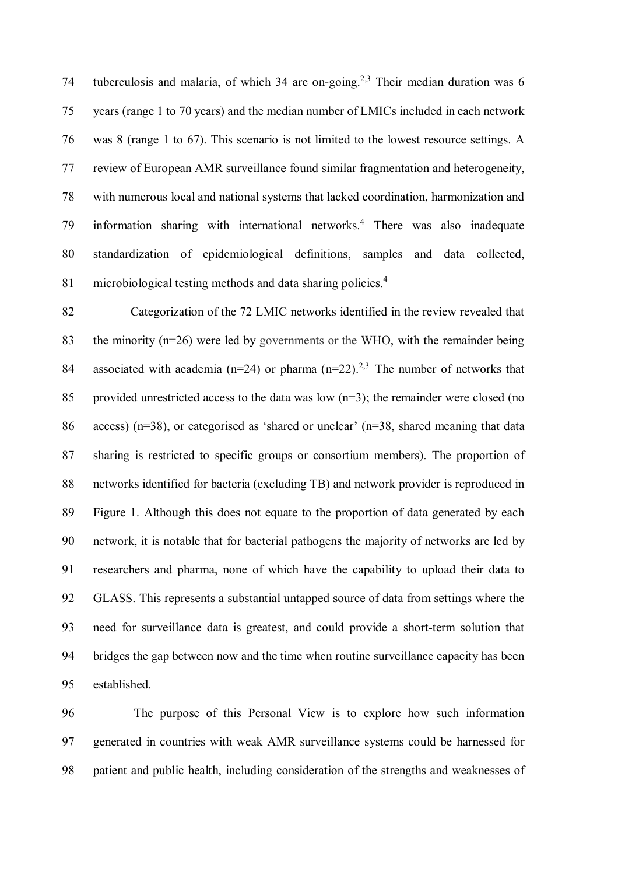74 tuberculosis and malaria, of which 34 are on-going.<sup>2,3</sup> Their median duration was 6 75 years (range 1 to 70 years) and the median number of LMICs included in each network 76 was 8 (range 1 to 67). This scenario is not limited to the lowest resource settings. A 77 review of European AMR surveillance found similar fragmentation and heterogeneity, 78 with numerous local and national systems that lacked coordination, harmonization and 79 information sharing with international networks.<sup>4</sup> There was also inadequate 80 standardization of epidemiological definitions, samples and data collected, microbiological testing methods and data sharing policies.<sup>4</sup> 81

82 Categorization of the 72 LMIC networks identified in the review revealed that 83 the minority (n=26) were led by governments or the WHO, with the remainder being 84 associated with academia ( $n=24$ ) or pharma ( $n=22$ ).<sup>2,3</sup> The number of networks that 85 provided unrestricted access to the data was low (n=3); the remainder were closed (no 86 access) (n=38), or categorised as 'shared or unclear' (n=38, shared meaning that data 87 sharing is restricted to specific groups or consortium members). The proportion of 88 networks identified for bacteria (excluding TB) and network provider is reproduced in 89 Figure 1. Although this does not equate to the proportion of data generated by each 90 network, it is notable that for bacterial pathogens the majority of networks are led by 91 researchers and pharma, none of which have the capability to upload their data to 92 GLASS. This represents a substantial untapped source of data from settings where the 93 need for surveillance data is greatest, and could provide a short-term solution that 94 bridges the gap between now and the time when routine surveillance capacity has been 95 established.

96 The purpose of this Personal View is to explore how such information 97 generated in countries with weak AMR surveillance systems could be harnessed for 98 patient and public health, including consideration of the strengths and weaknesses of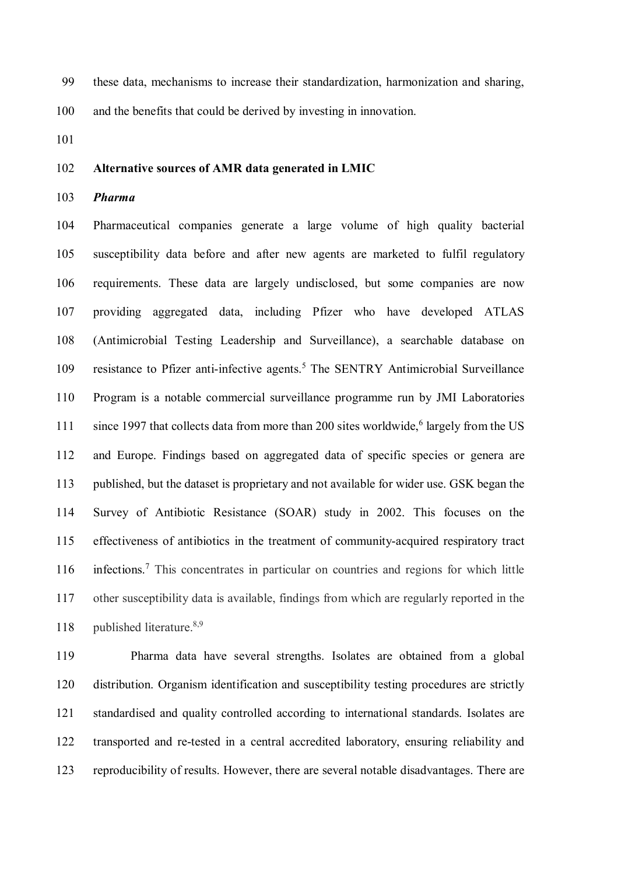99 these data, mechanisms to increase their standardization, harmonization and sharing,

100 and the benefits that could be derived by investing in innovation.

101

#### 102 **Alternative sources of AMR data generated in LMIC**

103 *Pharma* 

104 Pharmaceutical companies generate a large volume of high quality bacterial 105 susceptibility data before and after new agents are marketed to fulfil regulatory 106 requirements. These data are largely undisclosed, but some companies are now 107 providing aggregated data, including Pfizer who have developed ATLAS 108 (Antimicrobial Testing Leadership and Surveillance), a searchable database on 109 resistance to Pfizer anti-infective agents.<sup>5</sup> The SENTRY Antimicrobial Surveillance 110 Program is a notable commercial surveillance programme run by JMI Laboratories 111 since 1997 that collects data from more than 200 sites worldwide,<sup>6</sup> largely from the US 112 and Europe. Findings based on aggregated data of specific species or genera are 113 published, but the dataset is proprietary and not available for wider use. GSK began the 114 Survey of Antibiotic Resistance (SOAR) study in 2002. This focuses on the 115 effectiveness of antibiotics in the treatment of community-acquired respiratory tract 116 infections.<sup>7</sup> This concentrates in particular on countries and regions for which little 117 other susceptibility data is available, findings from which are regularly reported in the 118 published literature.<sup>8,9</sup>

119 Pharma data have several strengths. Isolates are obtained from a global 120 distribution. Organism identification and susceptibility testing procedures are strictly 121 standardised and quality controlled according to international standards. Isolates are 122 transported and re-tested in a central accredited laboratory, ensuring reliability and 123 reproducibility of results. However, there are several notable disadvantages. There are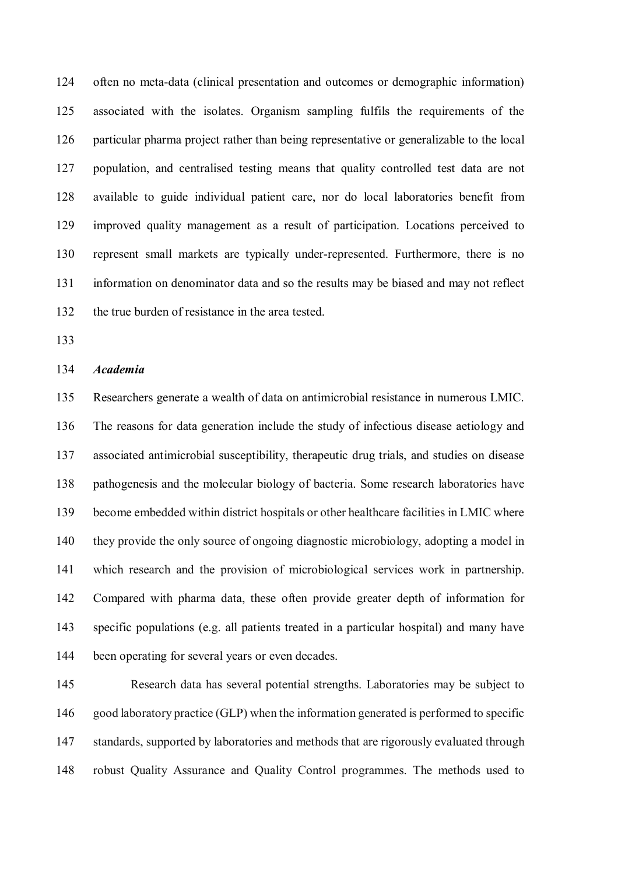124 often no meta-data (clinical presentation and outcomes or demographic information) 125 associated with the isolates. Organism sampling fulfils the requirements of the 126 particular pharma project rather than being representative or generalizable to the local 127 population, and centralised testing means that quality controlled test data are not 128 available to guide individual patient care, nor do local laboratories benefit from 129 improved quality management as a result of participation. Locations perceived to 130 represent small markets are typically under-represented. Furthermore, there is no 131 information on denominator data and so the results may be biased and may not reflect 132 the true burden of resistance in the area tested.

133

#### 134 *Academia*

135 Researchers generate a wealth of data on antimicrobial resistance in numerous LMIC. 136 The reasons for data generation include the study of infectious disease aetiology and 137 associated antimicrobial susceptibility, therapeutic drug trials, and studies on disease 138 pathogenesis and the molecular biology of bacteria. Some research laboratories have 139 become embedded within district hospitals or other healthcare facilities in LMIC where 140 they provide the only source of ongoing diagnostic microbiology, adopting a model in 141 which research and the provision of microbiological services work in partnership. 142 Compared with pharma data, these often provide greater depth of information for 143 specific populations (e.g. all patients treated in a particular hospital) and many have 144 been operating for several years or even decades.

145 Research data has several potential strengths. Laboratories may be subject to 146 good laboratory practice (GLP) when the information generated is performed to specific 147 standards, supported by laboratories and methods that are rigorously evaluated through 148 robust Quality Assurance and Quality Control programmes. The methods used to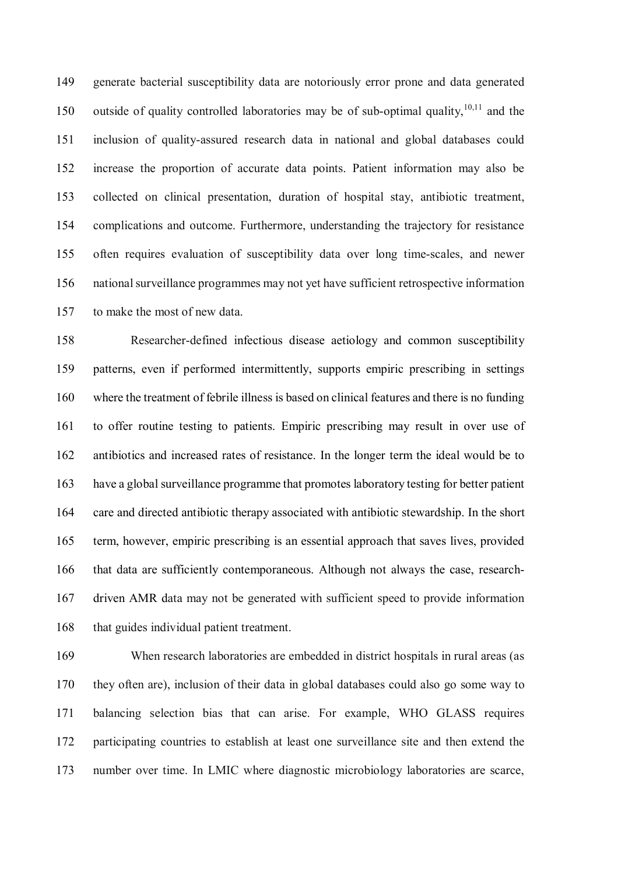149 generate bacterial susceptibility data are notoriously error prone and data generated 150 outside of quality controlled laboratories may be of sub-optimal quality,<sup>10,11</sup> and the 151 inclusion of quality-assured research data in national and global databases could 152 increase the proportion of accurate data points. Patient information may also be 153 collected on clinical presentation, duration of hospital stay, antibiotic treatment, 154 complications and outcome. Furthermore, understanding the trajectory for resistance 155 often requires evaluation of susceptibility data over long time-scales, and newer 156 national surveillance programmes may not yet have sufficient retrospective information 157 to make the most of new data.

158 Researcher-defined infectious disease aetiology and common susceptibility 159 patterns, even if performed intermittently, supports empiric prescribing in settings 160 where the treatment of febrile illness is based on clinical features and there is no funding 161 to offer routine testing to patients. Empiric prescribing may result in over use of 162 antibiotics and increased rates of resistance. In the longer term the ideal would be to 163 have a global surveillance programme that promotes laboratory testing for better patient 164 care and directed antibiotic therapy associated with antibiotic stewardship. In the short 165 term, however, empiric prescribing is an essential approach that saves lives, provided 166 that data are sufficiently contemporaneous. Although not always the case, research-167 driven AMR data may not be generated with sufficient speed to provide information 168 that guides individual patient treatment.

169 When research laboratories are embedded in district hospitals in rural areas (as 170 they often are), inclusion of their data in global databases could also go some way to 171 balancing selection bias that can arise. For example, WHO GLASS requires 172 participating countries to establish at least one surveillance site and then extend the 173 number over time. In LMIC where diagnostic microbiology laboratories are scarce,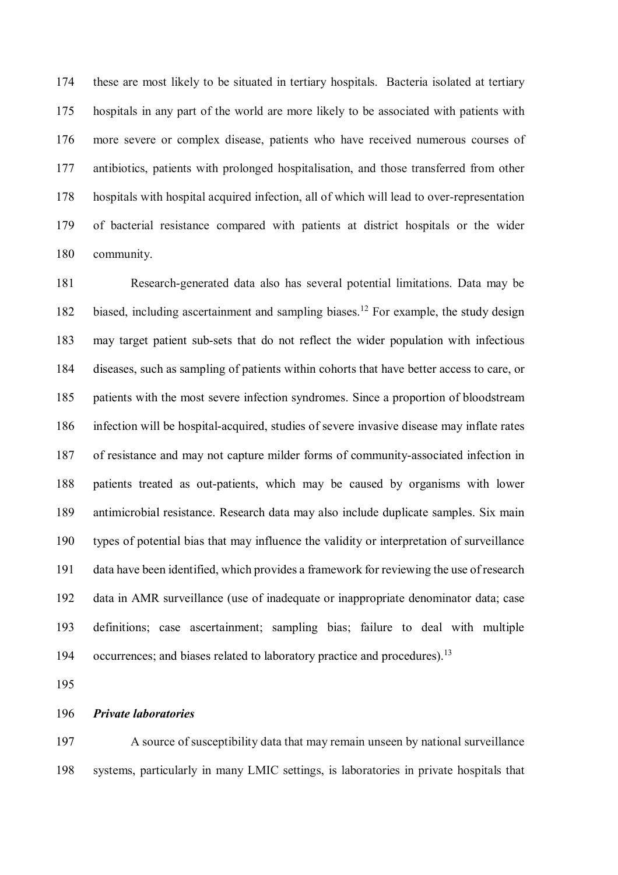174 these are most likely to be situated in tertiary hospitals. Bacteria isolated at tertiary 175 hospitals in any part of the world are more likely to be associated with patients with 176 more severe or complex disease, patients who have received numerous courses of 177 antibiotics, patients with prolonged hospitalisation, and those transferred from other 178 hospitals with hospital acquired infection, all of which will lead to over-representation 179 of bacterial resistance compared with patients at district hospitals or the wider 180 community.

181 Research-generated data also has several potential limitations. Data may be 182 biased, including ascertainment and sampling biases.<sup>12</sup> For example, the study design 183 may target patient sub-sets that do not reflect the wider population with infectious 184 diseases, such as sampling of patients within cohorts that have better access to care, or 185 patients with the most severe infection syndromes. Since a proportion of bloodstream 186 infection will be hospital-acquired, studies of severe invasive disease may inflate rates 187 of resistance and may not capture milder forms of community-associated infection in 188 patients treated as out-patients, which may be caused by organisms with lower 189 antimicrobial resistance. Research data may also include duplicate samples. Six main 190 types of potential bias that may influence the validity or interpretation of surveillance 191 data have been identified, which provides a framework for reviewing the use of research 192 data in AMR surveillance (use of inadequate or inappropriate denominator data; case 193 definitions; case ascertainment; sampling bias; failure to deal with multiple 194 occurrences; and biases related to laboratory practice and procedures).<sup>13</sup>

195

#### 196 *Private laboratories*

197 A source of susceptibility data that may remain unseen by national surveillance 198 systems, particularly in many LMIC settings, is laboratories in private hospitals that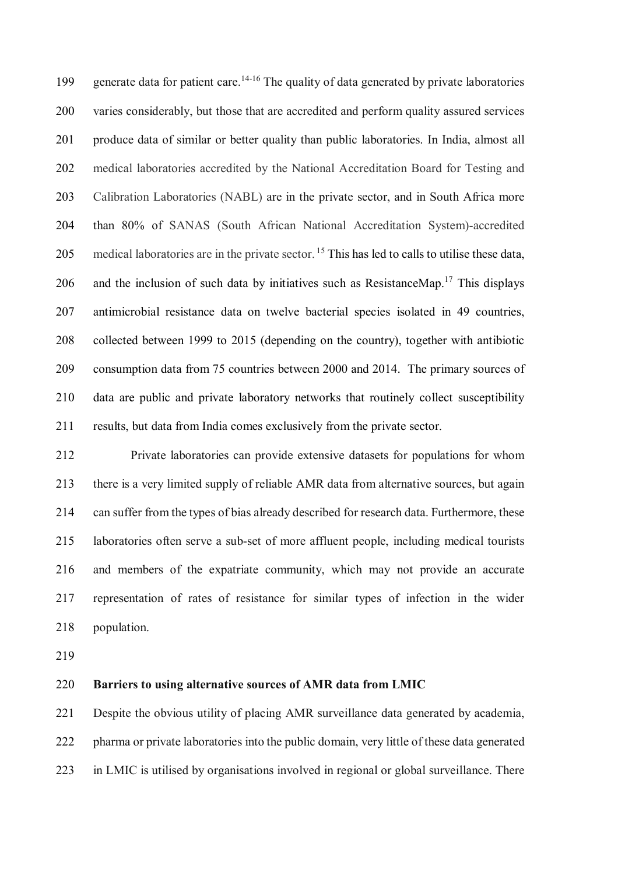199 generate data for patient care.<sup>14-16</sup> The quality of data generated by private laboratories 200 varies considerably, but those that are accredited and perform quality assured services 201 produce data of similar or better quality than public laboratories. In India, almost all 202 medical laboratories accredited by the National Accreditation Board for Testing and 203 Calibration Laboratories (NABL) are in the private sector, and in South Africa more 204 than 80% of SANAS (South African National Accreditation System)-accredited 205 medical laboratories are in the private sector.<sup>15</sup> This has led to calls to utilise these data, 206 and the inclusion of such data by initiatives such as ResistanceMap.<sup>17</sup> This displays 207 antimicrobial resistance data on twelve bacterial species isolated in 49 countries, 208 collected between 1999 to 2015 (depending on the country), together with antibiotic 209 consumption data from 75 countries between 2000 and 2014. The primary sources of 210 data are public and private laboratory networks that routinely collect susceptibility 211 results, but data from India comes exclusively from the private sector.

212 Private laboratories can provide extensive datasets for populations for whom 213 there is a very limited supply of reliable AMR data from alternative sources, but again 214 can suffer from the types of bias already described for research data. Furthermore, these 215 laboratories often serve a sub-set of more affluent people, including medical tourists 216 and members of the expatriate community, which may not provide an accurate 217 representation of rates of resistance for similar types of infection in the wider 218 population.

219

## 220 **Barriers to using alternative sources of AMR data from LMIC**

221 Despite the obvious utility of placing AMR surveillance data generated by academia, 222 pharma or private laboratories into the public domain, very little of these data generated 223 in LMIC is utilised by organisations involved in regional or global surveillance. There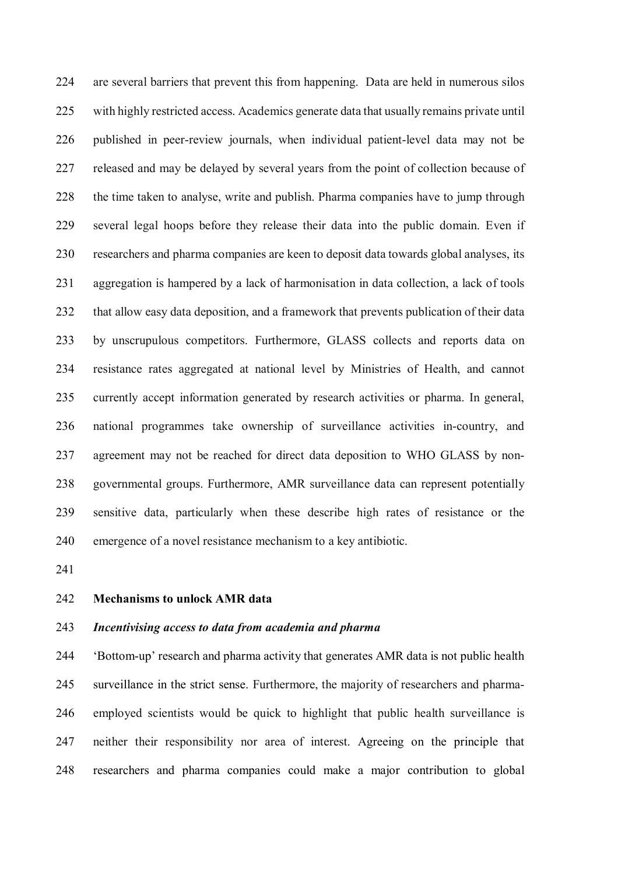224 are several barriers that prevent this from happening. Data are held in numerous silos 225 with highly restricted access. Academics generate data that usually remains private until 226 published in peer-review journals, when individual patient-level data may not be 227 released and may be delayed by several years from the point of collection because of 228 the time taken to analyse, write and publish. Pharma companies have to jump through 229 several legal hoops before they release their data into the public domain. Even if 230 researchers and pharma companies are keen to deposit data towards global analyses, its 231 aggregation is hampered by a lack of harmonisation in data collection, a lack of tools 232 that allow easy data deposition, and a framework that prevents publication of their data 233 by unscrupulous competitors. Furthermore, GLASS collects and reports data on 234 resistance rates aggregated at national level by Ministries of Health, and cannot 235 currently accept information generated by research activities or pharma. In general, 236 national programmes take ownership of surveillance activities in-country, and 237 agreement may not be reached for direct data deposition to WHO GLASS by non-238 governmental groups. Furthermore, AMR surveillance data can represent potentially 239 sensitive data, particularly when these describe high rates of resistance or the 240 emergence of a novel resistance mechanism to a key antibiotic.

241

#### 242 **Mechanisms to unlock AMR data**

#### 243 *Incentivising access to data from academia and pharma*

244 'Bottom-up' research and pharma activity that generates AMR data is not public health 245 surveillance in the strict sense. Furthermore, the majority of researchers and pharma-246 employed scientists would be quick to highlight that public health surveillance is 247 neither their responsibility nor area of interest. Agreeing on the principle that 248 researchers and pharma companies could make a major contribution to global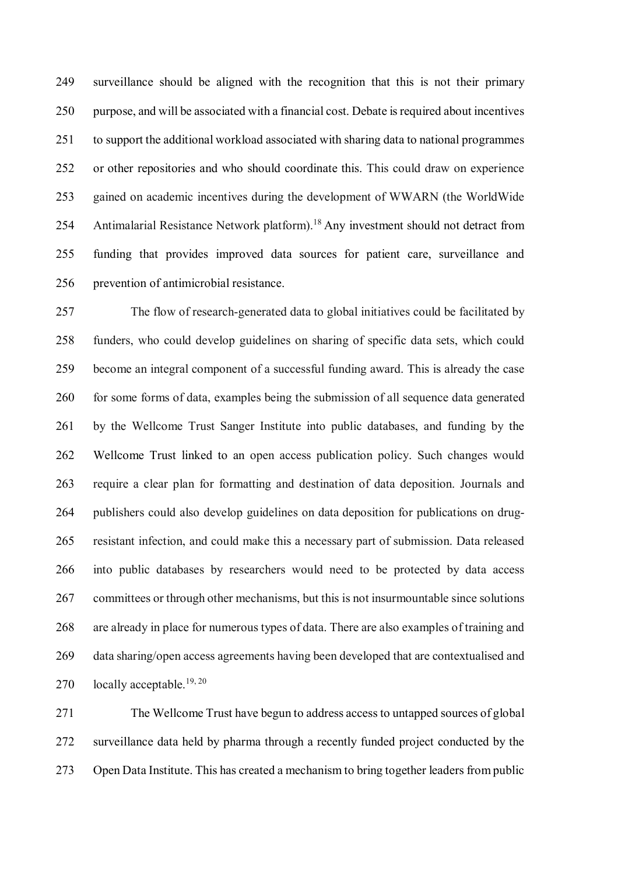249 surveillance should be aligned with the recognition that this is not their primary 250 purpose, and will be associated with a financial cost. Debate is required about incentives 251 to support the additional workload associated with sharing data to national programmes 252 or other repositories and who should coordinate this. This could draw on experience 253 gained on academic incentives during the development of WWARN (the WorldWide 254 Antimalarial Resistance Network platform).<sup>18</sup> Any investment should not detract from 255 funding that provides improved data sources for patient care, surveillance and 256 prevention of antimicrobial resistance.

257 The flow of research-generated data to global initiatives could be facilitated by 258 funders, who could develop guidelines on sharing of specific data sets, which could 259 become an integral component of a successful funding award. This is already the case 260 for some forms of data, examples being the submission of all sequence data generated 261 by the Wellcome Trust Sanger Institute into public databases, and funding by the 262 Wellcome Trust linked to an open access publication policy. Such changes would 263 require a clear plan for formatting and destination of data deposition. Journals and 264 publishers could also develop guidelines on data deposition for publications on drug-265 resistant infection, and could make this a necessary part of submission. Data released 266 into public databases by researchers would need to be protected by data access 267 committees or through other mechanisms, but this is not insurmountable since solutions 268 are already in place for numerous types of data. There are also examples of training and 269 data sharing/open access agreements having been developed that are contextualised and 270 locally acceptable.<sup>19, 20</sup>

271 The Wellcome Trust have begun to address access to untapped sources of global 272 surveillance data held by pharma through a recently funded project conducted by the 273 Open Data Institute. This has created a mechanism to bring together leaders from public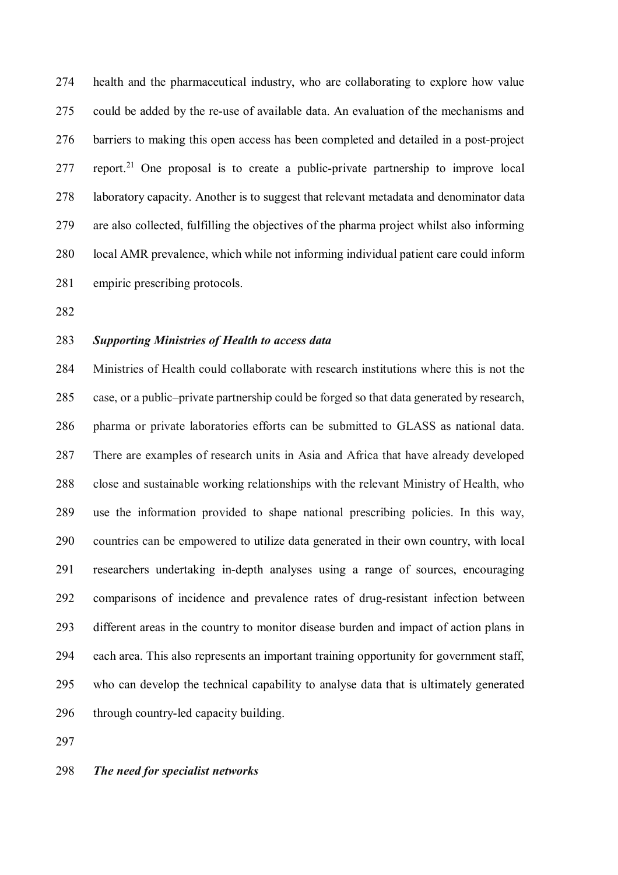274 health and the pharmaceutical industry, who are collaborating to explore how value 275 could be added by the re-use of available data. An evaluation of the mechanisms and 276 barriers to making this open access has been completed and detailed in a post-project 277 report.<sup>21</sup> One proposal is to create a public-private partnership to improve local 278 laboratory capacity. Another is to suggest that relevant metadata and denominator data 279 are also collected, fulfilling the objectives of the pharma project whilst also informing 280 local AMR prevalence, which while not informing individual patient care could inform 281 empiric prescribing protocols.

282

## 283 *Supporting Ministries of Health to access data*

284 Ministries of Health could collaborate with research institutions where this is not the 285 case, or a public–private partnership could be forged so that data generated by research, 286 pharma or private laboratories efforts can be submitted to GLASS as national data. 287 There are examples of research units in Asia and Africa that have already developed 288 close and sustainable working relationships with the relevant Ministry of Health, who 289 use the information provided to shape national prescribing policies. In this way, 290 countries can be empowered to utilize data generated in their own country, with local 291 researchers undertaking in-depth analyses using a range of sources, encouraging 292 comparisons of incidence and prevalence rates of drug-resistant infection between 293 different areas in the country to monitor disease burden and impact of action plans in 294 each area. This also represents an important training opportunity for government staff, 295 who can develop the technical capability to analyse data that is ultimately generated 296 through country-led capacity building.

297

#### 298 *The need for specialist networks*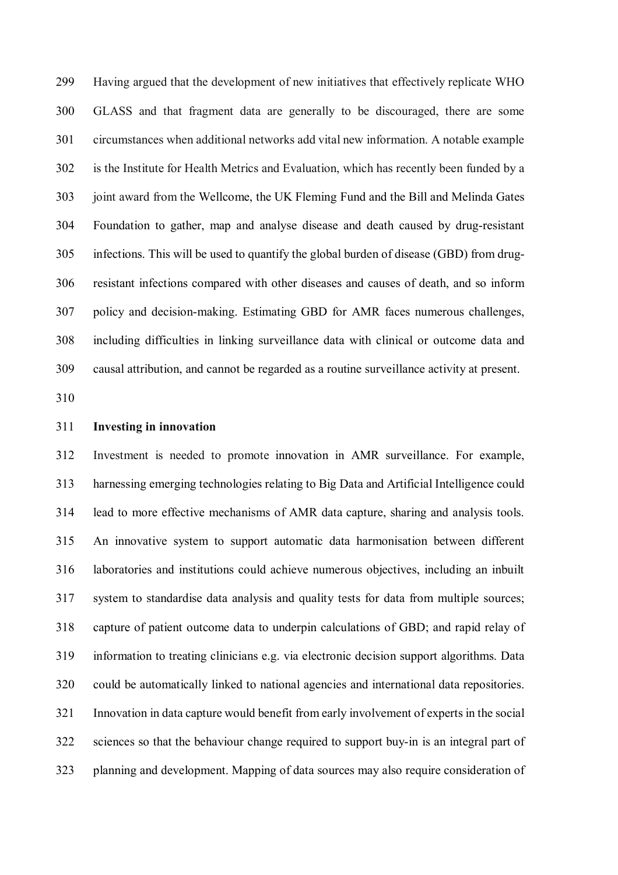299 Having argued that the development of new initiatives that effectively replicate WHO 300 GLASS and that fragment data are generally to be discouraged, there are some 301 circumstances when additional networks add vital new information. A notable example 302 is the Institute for Health Metrics and Evaluation, which has recently been funded by a 303 joint award from the Wellcome, the UK Fleming Fund and the Bill and Melinda Gates 304 Foundation to gather, map and analyse disease and death caused by drug-resistant 305 infections. This will be used to quantify the global burden of disease (GBD) from drug-306 resistant infections compared with other diseases and causes of death, and so inform 307 policy and decision-making. Estimating GBD for AMR faces numerous challenges, 308 including difficulties in linking surveillance data with clinical or outcome data and 309 causal attribution, and cannot be regarded as a routine surveillance activity at present.

310

#### 311 **Investing in innovation**

312 Investment is needed to promote innovation in AMR surveillance. For example, 313 harnessing emerging technologies relating to Big Data and Artificial Intelligence could 314 lead to more effective mechanisms of AMR data capture, sharing and analysis tools. 315 An innovative system to support automatic data harmonisation between different 316 laboratories and institutions could achieve numerous objectives, including an inbuilt 317 system to standardise data analysis and quality tests for data from multiple sources; 318 capture of patient outcome data to underpin calculations of GBD; and rapid relay of 319 information to treating clinicians e.g. via electronic decision support algorithms. Data 320 could be automatically linked to national agencies and international data repositories. 321 Innovation in data capture would benefit from early involvement of experts in the social 322 sciences so that the behaviour change required to support buy-in is an integral part of 323 planning and development. Mapping of data sources may also require consideration of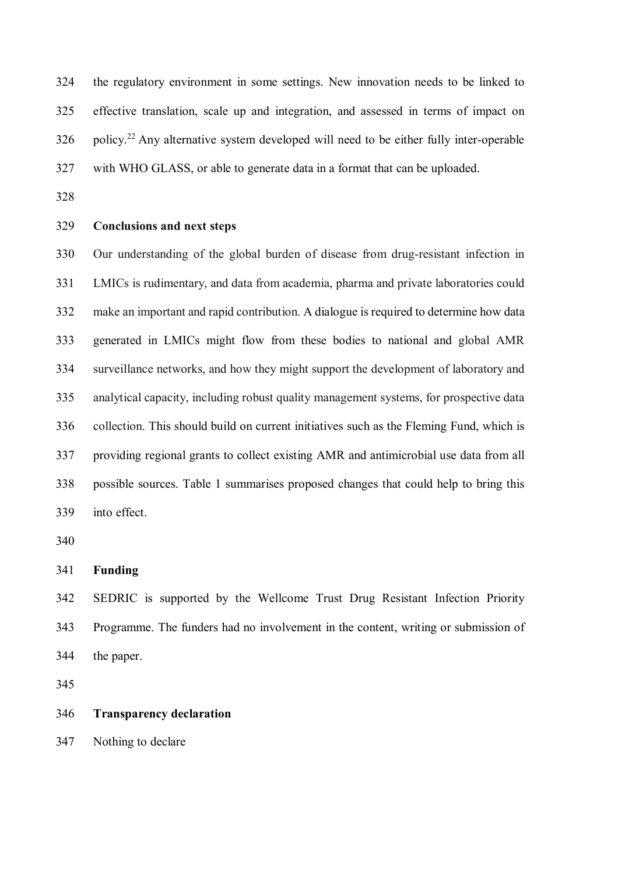324 the regulatory environment in some settings. New innovation needs to be linked to 325 effective translation, scale up and integration, and assessed in terms of impact on  $326$  policy.<sup>22</sup> Any alternative system developed will need to be either fully inter-operable 327 with WHO GLASS, or able to generate data in a format that can be uploaded.

328

## 329 **Conclusions and next steps**

330 Our understanding of the global burden of disease from drug-resistant infection in 331 LMICs is rudimentary, and data from academia, pharma and private laboratories could 332 make an important and rapid contribution. A dialogue is required to determine how data 333 generated in LMICs might flow from these bodies to national and global AMR 334 surveillance networks, and how they might support the development of laboratory and 335 analytical capacity, including robust quality management systems, for prospective data 336 collection. This should build on current initiatives such as the Fleming Fund, which is 337 providing regional grants to collect existing AMR and antimicrobial use data from all 338 possible sources. Table 1 summarises proposed changes that could help to bring this 339 into effect.

340

# 341 **Funding**

342 SEDRIC is supported by the Wellcome Trust Drug Resistant Infection Priority 343 Programme. The funders had no involvement in the content, writing or submission of 344 the paper.

345

## 346 **Transparency declaration**

347 Nothing to declare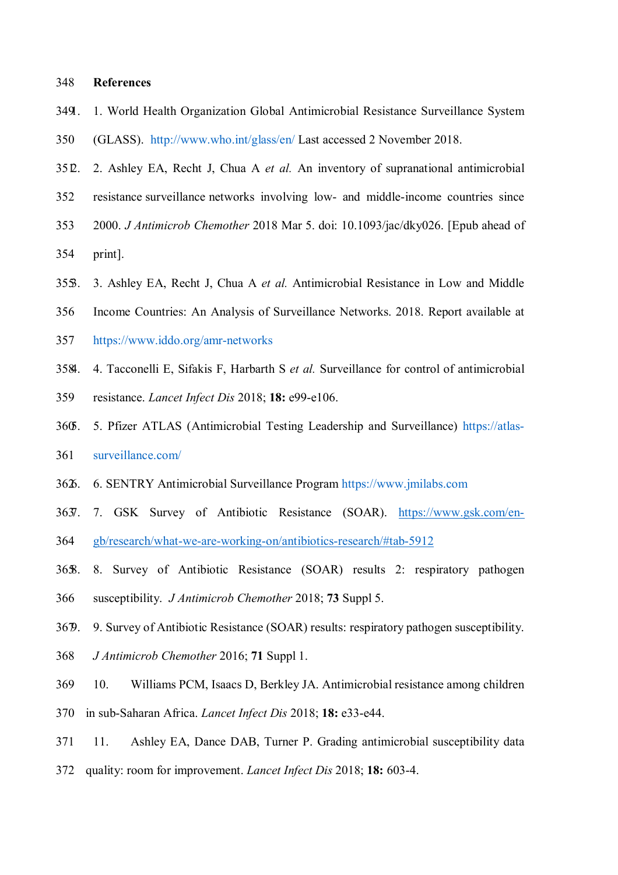#### 348 **References**

- 349 1. 1. World Health Organization Global Antimicrobial Resistance Surveillance System
- 350 (GLASS). http://www.who.int/glass/en/ Last accessed 2 November 2018.
- 351 2. 2. Ashley EA, Recht J, Chua A *et al.* An inventory of supranational antimicrobial
- 352 resistance surveillance networks involving low- and middle-income countries since
- 353 2000. *J Antimicrob Chemother* 2018 Mar 5. doi: 10.1093/jac/dky026. [Epub ahead of
- 354 print].
- 355 3. 3. Ashley EA, Recht J, Chua A *et al.* Antimicrobial Resistance in Low and Middle
- 356 Income Countries: An Analysis of Surveillance Networks. 2018. Report available at
- 357 https://www.iddo.org/amr-networks
- 358 4. 4. Tacconelli E, Sifakis F, Harbarth S *et al.* Surveillance for control of antimicrobial
- 359 resistance. *Lancet Infect Dis* 2018; **18:** e99-e106.
- 360 5. 5. Pfizer ATLAS (Antimicrobial Testing Leadership and Surveillance) https://atlas-
- 361 surveillance.com/
- 362 6. 6. SENTRY Antimicrobial Surveillance Program https://www.jmilabs.com
- 363 7. 7. GSK Survey of Antibiotic Resistance (SOAR). https://www.gsk.com/en-364 gb/research/what-we-are-working-on/antibiotics-research/#tab-5912
- 365 8. 8. Survey of Antibiotic Resistance (SOAR) results 2: respiratory pathogen 366 susceptibility. *J Antimicrob Chemother* 2018; **73** Suppl 5.
- 367 9. 9. Survey of Antibiotic Resistance (SOAR) results: respiratory pathogen susceptibility.
- 368 *J Antimicrob Chemother* 2016; **71** Suppl 1.
- 369 10. Williams PCM, Isaacs D, Berkley JA. Antimicrobial resistance among children
- 370 in sub-Saharan Africa. *Lancet Infect Dis* 2018; **18:** e33-e44.
- 371 11. Ashley EA, Dance DAB, Turner P. Grading antimicrobial susceptibility data
- 372 quality: room for improvement. *Lancet Infect Dis* 2018; **18:** 603-4.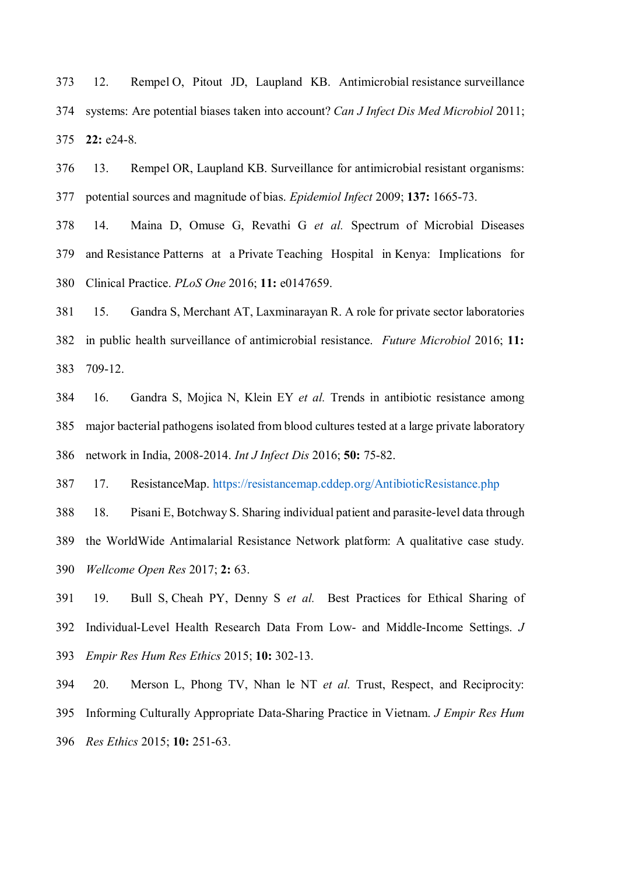373 12. Rempel O, Pitout JD, Laupland KB. Antimicrobial resistance surveillance 374 systems: Are potential biases taken into account? *Can J Infect Dis Med Microbiol* 2011; 375 **22:** e24-8.

376 13. Rempel OR, Laupland KB. Surveillance for antimicrobial resistant organisms: 377 potential sources and magnitude of bias. *Epidemiol Infect* 2009; **137:** 1665-73.

378 14. Maina D, Omuse G, Revathi G *et al.* Spectrum of Microbial Diseases 379 and Resistance Patterns at a Private Teaching Hospital in Kenya: Implications for 380 Clinical Practice. *PLoS One* 2016; **11:** e0147659.

381 15. Gandra S, Merchant AT, Laxminarayan R. A role for private sector laboratories 382 in public health surveillance of antimicrobial resistance. *Future Microbiol* 2016; **11:** 383 709-12.

384 16. Gandra S, Mojica N, Klein EY *et al.* Trends in antibiotic resistance among 385 major bacterial pathogens isolated from blood cultures tested at a large private laboratory 386 network in India, 2008-2014. *Int J Infect Dis* 2016; **50:** 75-82.

387 17. ResistanceMap. https://resistancemap.cddep.org/AntibioticResistance.php

388 18. Pisani E, Botchway S. Sharing individual patient and parasite-level data through 389 the WorldWide Antimalarial Resistance Network platform: A qualitative case study. 390 *Wellcome Open Res* 2017; **2:** 63.

391 19. Bull S, Cheah PY, Denny S *et al.* Best Practices for Ethical Sharing of 392 Individual-Level Health Research Data From Low- and Middle-Income Settings. *J*  393 *Empir Res Hum Res Ethics* 2015; **10:** 302-13.

394 20. Merson L, Phong TV, Nhan le NT *et al.* Trust, Respect, and Reciprocity: 395 Informing Culturally Appropriate Data-Sharing Practice in Vietnam. *J Empir Res Hum*  396 *Res Ethics* 2015; **10:** 251-63.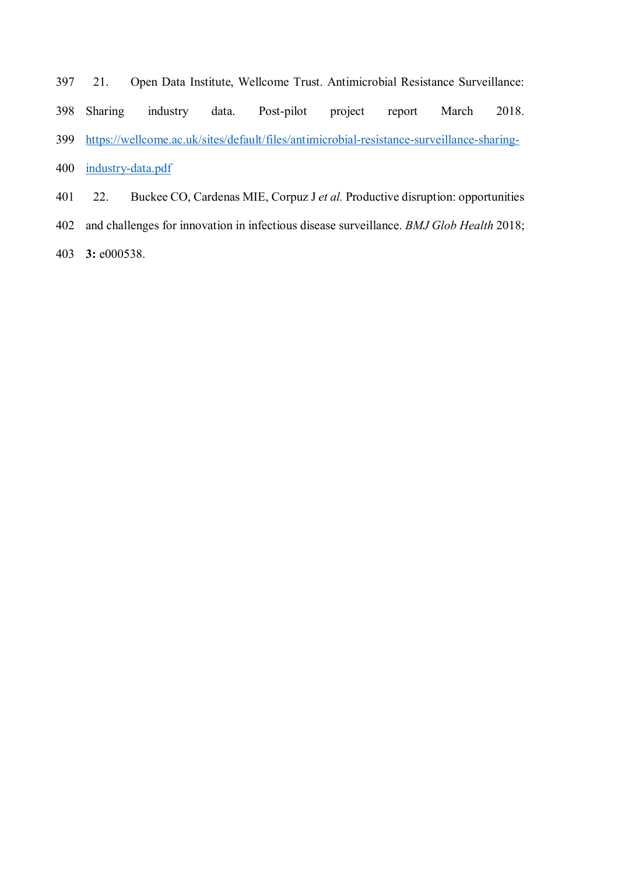- 397 21. Open Data Institute, Wellcome Trust. Antimicrobial Resistance Surveillance: 398 Sharing industry data. Post-pilot project report March 2018. 399 https://wellcome.ac.uk/sites/default/files/antimicrobial-resistance-surveillance-sharing-400 industry-data.pdf 401 22. Buckee CO, Cardenas MIE, Corpuz J *et al.* Productive disruption: opportunities
- 402 and challenges for innovation in infectious disease surveillance. *BMJ Glob Health* 2018;
- 403 **3:** e000538.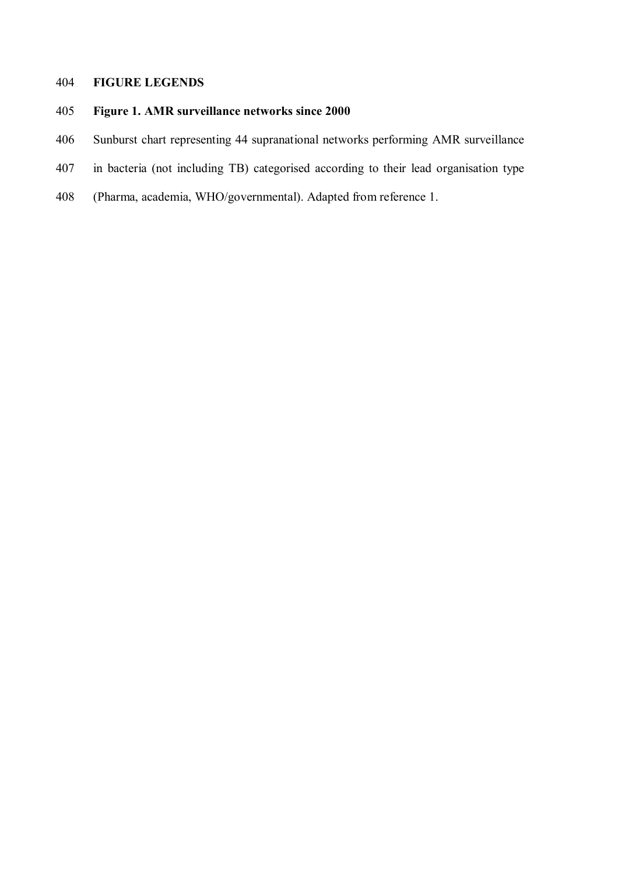# 404 **FIGURE LEGENDS**

# 405 **Figure 1. AMR surveillance networks since 2000**

- 406 Sunburst chart representing 44 supranational networks performing AMR surveillance
- 407 in bacteria (not including TB) categorised according to their lead organisation type
- 408 (Pharma, academia, WHO/governmental). Adapted from reference 1.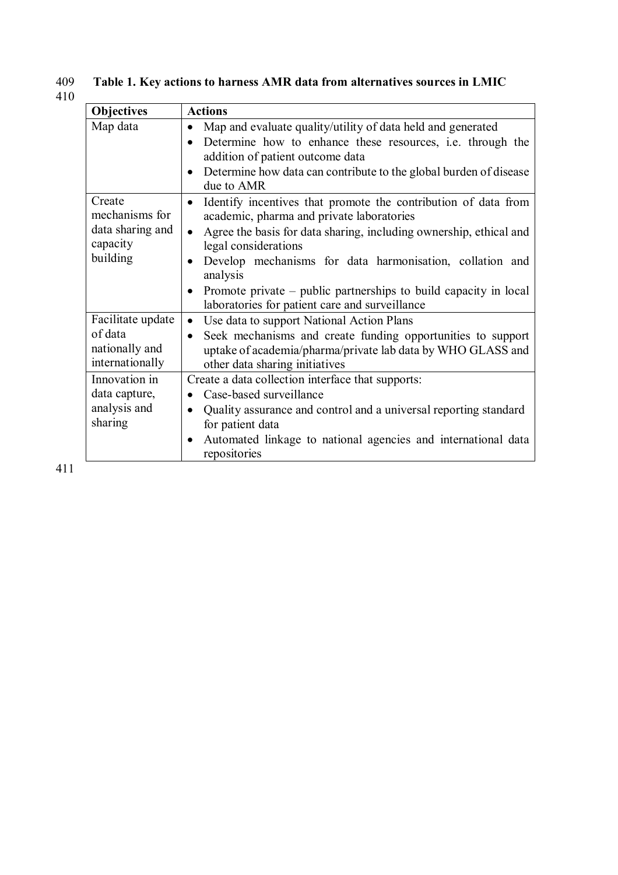# 409 **Table 1. Key actions to harness AMR data from alternatives sources in LMIC**  409<br>410

| <b>Objectives</b>                                                    | <b>Actions</b>                                                                                                                                                                                                                                                                                                                                                                                                                                 |
|----------------------------------------------------------------------|------------------------------------------------------------------------------------------------------------------------------------------------------------------------------------------------------------------------------------------------------------------------------------------------------------------------------------------------------------------------------------------------------------------------------------------------|
| Map data                                                             | Map and evaluate quality/utility of data held and generated<br>Determine how to enhance these resources, i.e. through the<br>$\bullet$<br>addition of patient outcome data<br>Determine how data can contribute to the global burden of disease<br>$\bullet$<br>due to AMR                                                                                                                                                                     |
| Create<br>mechanisms for<br>data sharing and<br>capacity<br>building | Identify incentives that promote the contribution of data from<br>$\bullet$<br>academic, pharma and private laboratories<br>Agree the basis for data sharing, including ownership, ethical and<br>$\bullet$<br>legal considerations<br>Develop mechanisms for data harmonisation, collation and<br>$\bullet$<br>analysis<br>Promote private – public partnerships to build capacity in local<br>laboratories for patient care and surveillance |
| Facilitate update<br>of data<br>nationally and<br>internationally    | Use data to support National Action Plans<br>$\bullet$<br>Seek mechanisms and create funding opportunities to support<br>$\bullet$<br>uptake of academia/pharma/private lab data by WHO GLASS and<br>other data sharing initiatives                                                                                                                                                                                                            |
| Innovation in<br>data capture,<br>analysis and<br>sharing            | Create a data collection interface that supports:<br>Case-based surveillance<br>Quality assurance and control and a universal reporting standard<br>$\bullet$<br>for patient data<br>Automated linkage to national agencies and international data<br>$\bullet$<br>repositories                                                                                                                                                                |

411